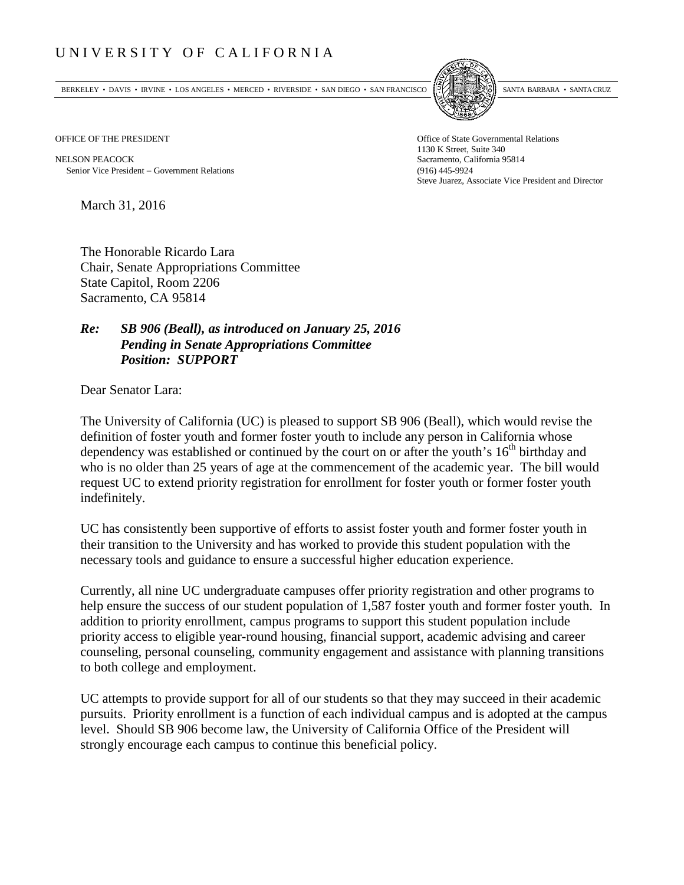## UNIVERSITY OF CALIFORNIA

BERKELEY • DAVIS • IRVINE • LOS ANGELES • MERCED • RIVERSIDE • SAN DIEGO • SAN FRANCISCO [5] SANTA BARBARA • SANTA CRUZ



OFFICE OF THE PRESIDENT STATES OF THE PRESIDENT

NELSON PEACOCK Sacramento, California 95814 Senior Vice President − Government Relations (916) 445-9924

1130 K Street, Suite 340 Steve Juarez, Associate Vice President and Director

March 31, 2016

The Honorable Ricardo Lara Chair, Senate Appropriations Committee State Capitol, Room 2206 Sacramento, CA 95814

## *Re: SB 906 (Beall), as introduced on January 25, 2016 Pending in Senate Appropriations Committee Position: SUPPORT*

Dear Senator Lara:

The University of California (UC) is pleased to support SB 906 (Beall), which would revise the definition of foster youth and former foster youth to include any person in California whose dependency was established or continued by the court on or after the youth's  $16<sup>th</sup>$  birthday and who is no older than 25 years of age at the commencement of the academic year. The bill would request UC to extend priority registration for enrollment for foster youth or former foster youth indefinitely.

UC has consistently been supportive of efforts to assist foster youth and former foster youth in their transition to the University and has worked to provide this student population with the necessary tools and guidance to ensure a successful higher education experience.

Currently, all nine UC undergraduate campuses offer priority registration and other programs to help ensure the success of our student population of 1,587 foster youth and former foster youth. In addition to priority enrollment, campus programs to support this student population include priority access to eligible year-round housing, financial support, academic advising and career counseling, personal counseling, community engagement and assistance with planning transitions to both college and employment.

UC attempts to provide support for all of our students so that they may succeed in their academic pursuits. Priority enrollment is a function of each individual campus and is adopted at the campus level. Should SB 906 become law, the University of California Office of the President will strongly encourage each campus to continue this beneficial policy.